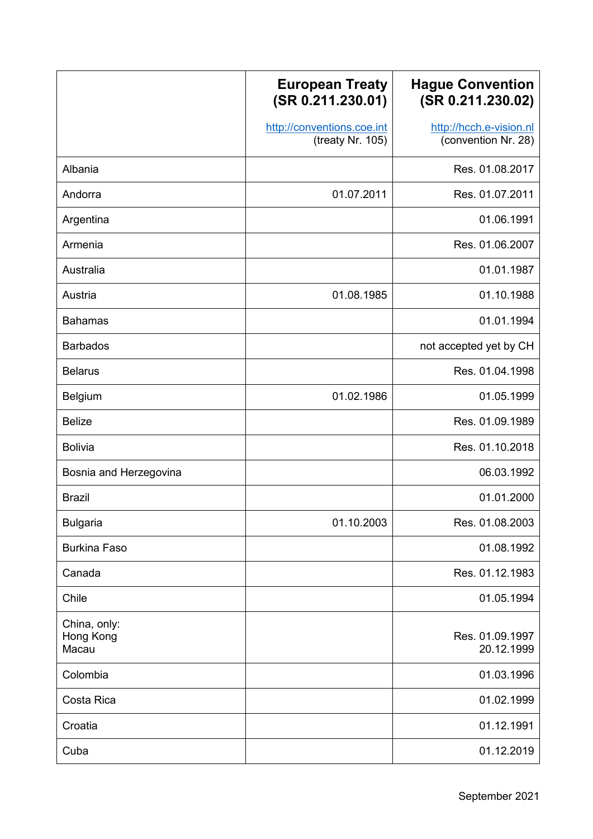|                                    | <b>European Treaty</b><br>(SR 0.211.230.01)    | <b>Hague Convention</b><br>(SR 0.211.230.02)   |
|------------------------------------|------------------------------------------------|------------------------------------------------|
|                                    | http://conventions.coe.int<br>(treaty Nr. 105) | http://hcch.e-vision.nl<br>(convention Nr. 28) |
| Albania                            |                                                | Res. 01.08.2017                                |
| Andorra                            | 01.07.2011                                     | Res. 01.07.2011                                |
| Argentina                          |                                                | 01.06.1991                                     |
| Armenia                            |                                                | Res. 01.06.2007                                |
| Australia                          |                                                | 01.01.1987                                     |
| Austria                            | 01.08.1985                                     | 01.10.1988                                     |
| <b>Bahamas</b>                     |                                                | 01.01.1994                                     |
| <b>Barbados</b>                    |                                                | not accepted yet by CH                         |
| <b>Belarus</b>                     |                                                | Res. 01.04.1998                                |
| Belgium                            | 01.02.1986                                     | 01.05.1999                                     |
| <b>Belize</b>                      |                                                | Res. 01.09.1989                                |
| <b>Bolivia</b>                     |                                                | Res. 01.10.2018                                |
| Bosnia and Herzegovina             |                                                | 06.03.1992                                     |
| <b>Brazil</b>                      |                                                | 01.01.2000                                     |
| <b>Bulgaria</b>                    | 01.10.2003                                     | Res. 01.08.2003                                |
| <b>Burkina Faso</b>                |                                                | 01.08.1992                                     |
| Canada                             |                                                | Res. 01.12.1983                                |
| Chile                              |                                                | 01.05.1994                                     |
| China, only:<br>Hong Kong<br>Macau |                                                | Res. 01.09.1997<br>20.12.1999                  |
| Colombia                           |                                                | 01.03.1996                                     |
| Costa Rica                         |                                                | 01.02.1999                                     |
| Croatia                            |                                                | 01.12.1991                                     |
| Cuba                               |                                                | 01.12.2019                                     |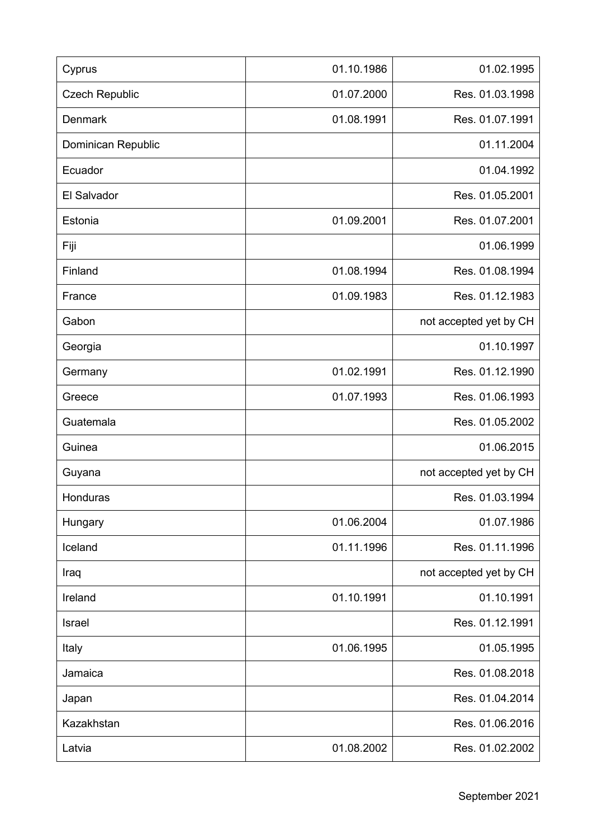| Cyprus                | 01.10.1986 | 01.02.1995             |
|-----------------------|------------|------------------------|
| <b>Czech Republic</b> | 01.07.2000 | Res. 01.03.1998        |
| <b>Denmark</b>        | 01.08.1991 | Res. 01.07.1991        |
| Dominican Republic    |            | 01.11.2004             |
| Ecuador               |            | 01.04.1992             |
| El Salvador           |            | Res. 01.05.2001        |
| Estonia               | 01.09.2001 | Res. 01.07.2001        |
| Fiji                  |            | 01.06.1999             |
| Finland               | 01.08.1994 | Res. 01.08.1994        |
| France                | 01.09.1983 | Res. 01.12.1983        |
| Gabon                 |            | not accepted yet by CH |
| Georgia               |            | 01.10.1997             |
| Germany               | 01.02.1991 | Res. 01.12.1990        |
| Greece                | 01.07.1993 | Res. 01.06.1993        |
| Guatemala             |            | Res. 01.05.2002        |
| Guinea                |            | 01.06.2015             |
| Guyana                |            | not accepted yet by CH |
| Honduras              |            | Res. 01.03.1994        |
| Hungary               | 01.06.2004 | 01.07.1986             |
| Iceland               | 01.11.1996 | Res. 01.11.1996        |
| Iraq                  |            | not accepted yet by CH |
| Ireland               | 01.10.1991 | 01.10.1991             |
| Israel                |            | Res. 01.12.1991        |
| Italy                 | 01.06.1995 | 01.05.1995             |
| Jamaica               |            | Res. 01.08.2018        |
| Japan                 |            | Res. 01.04.2014        |
| Kazakhstan            |            | Res. 01.06.2016        |
| Latvia                | 01.08.2002 | Res. 01.02.2002        |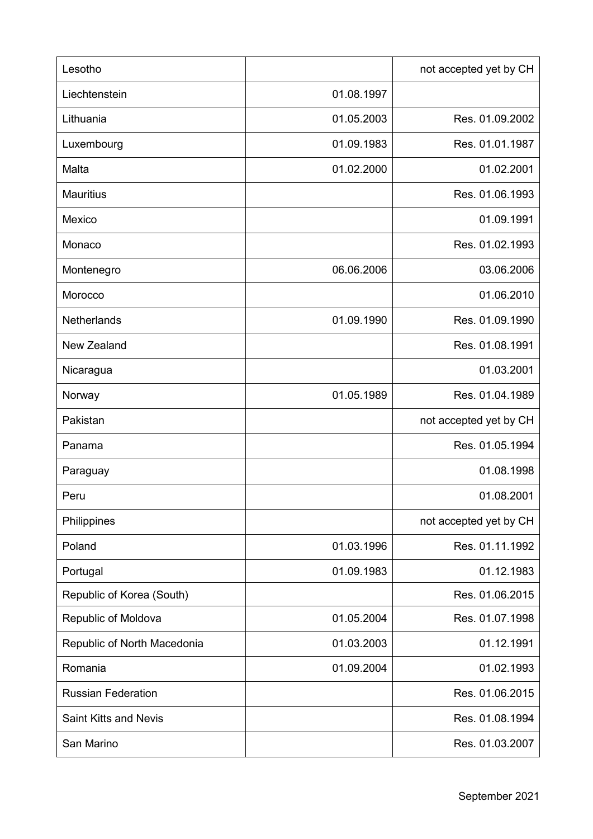| Lesotho                      |            | not accepted yet by CH |
|------------------------------|------------|------------------------|
| Liechtenstein                | 01.08.1997 |                        |
| Lithuania                    | 01.05.2003 | Res. 01.09.2002        |
| Luxembourg                   | 01.09.1983 | Res. 01.01.1987        |
| Malta                        | 01.02.2000 | 01.02.2001             |
| <b>Mauritius</b>             |            | Res. 01.06.1993        |
| Mexico                       |            | 01.09.1991             |
| Monaco                       |            | Res. 01.02.1993        |
| Montenegro                   | 06.06.2006 | 03.06.2006             |
| Morocco                      |            | 01.06.2010             |
| <b>Netherlands</b>           | 01.09.1990 | Res. 01.09.1990        |
| New Zealand                  |            | Res. 01.08.1991        |
| Nicaragua                    |            | 01.03.2001             |
| Norway                       | 01.05.1989 | Res. 01.04.1989        |
| Pakistan                     |            | not accepted yet by CH |
| Panama                       |            | Res. 01.05.1994        |
| Paraguay                     |            | 01.08.1998             |
| Peru                         |            | 01.08.2001             |
| Philippines                  |            | not accepted yet by CH |
| Poland                       | 01.03.1996 | Res. 01.11.1992        |
| Portugal                     | 01.09.1983 | 01.12.1983             |
| Republic of Korea (South)    |            | Res. 01.06.2015        |
| Republic of Moldova          | 01.05.2004 | Res. 01.07.1998        |
| Republic of North Macedonia  | 01.03.2003 | 01.12.1991             |
| Romania                      | 01.09.2004 | 01.02.1993             |
| <b>Russian Federation</b>    |            | Res. 01.06.2015        |
| <b>Saint Kitts and Nevis</b> |            | Res. 01.08.1994        |
| San Marino                   |            | Res. 01.03.2007        |